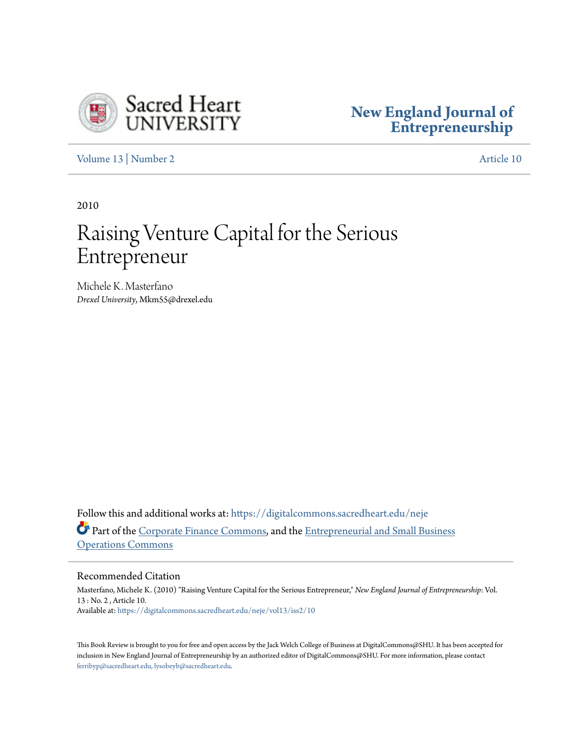

### **[New England Journal of](https://digitalcommons.sacredheart.edu/neje?utm_source=digitalcommons.sacredheart.edu%2Fneje%2Fvol13%2Fiss2%2F10&utm_medium=PDF&utm_campaign=PDFCoverPages) [Entrepreneurship](https://digitalcommons.sacredheart.edu/neje?utm_source=digitalcommons.sacredheart.edu%2Fneje%2Fvol13%2Fiss2%2F10&utm_medium=PDF&utm_campaign=PDFCoverPages)**

[Volume 13](https://digitalcommons.sacredheart.edu/neje/vol13?utm_source=digitalcommons.sacredheart.edu%2Fneje%2Fvol13%2Fiss2%2F10&utm_medium=PDF&utm_campaign=PDFCoverPages) | [Number 2](https://digitalcommons.sacredheart.edu/neje/vol13/iss2?utm_source=digitalcommons.sacredheart.edu%2Fneje%2Fvol13%2Fiss2%2F10&utm_medium=PDF&utm_campaign=PDFCoverPages) [Article 10](https://digitalcommons.sacredheart.edu/neje/vol13/iss2/10?utm_source=digitalcommons.sacredheart.edu%2Fneje%2Fvol13%2Fiss2%2F10&utm_medium=PDF&utm_campaign=PDFCoverPages)

2010

## Raising Venture Capital for the Serious Entrepreneur

Michele K. Masterfano *Drexel University*, Mkm55@drexel.edu

Follow this and additional works at: [https://digitalcommons.sacredheart.edu/neje](https://digitalcommons.sacredheart.edu/neje?utm_source=digitalcommons.sacredheart.edu%2Fneje%2Fvol13%2Fiss2%2F10&utm_medium=PDF&utm_campaign=PDFCoverPages) Part of the [Corporate Finance Commons](http://network.bepress.com/hgg/discipline/629?utm_source=digitalcommons.sacredheart.edu%2Fneje%2Fvol13%2Fiss2%2F10&utm_medium=PDF&utm_campaign=PDFCoverPages), and the [Entrepreneurial and Small Business](http://network.bepress.com/hgg/discipline/630?utm_source=digitalcommons.sacredheart.edu%2Fneje%2Fvol13%2Fiss2%2F10&utm_medium=PDF&utm_campaign=PDFCoverPages) [Operations Commons](http://network.bepress.com/hgg/discipline/630?utm_source=digitalcommons.sacredheart.edu%2Fneje%2Fvol13%2Fiss2%2F10&utm_medium=PDF&utm_campaign=PDFCoverPages)

Recommended Citation

Masterfano, Michele K. (2010) "Raising Venture Capital for the Serious Entrepreneur," *New England Journal of Entrepreneurship*: Vol. 13 : No. 2 , Article 10. Available at: [https://digitalcommons.sacredheart.edu/neje/vol13/iss2/10](https://digitalcommons.sacredheart.edu/neje/vol13/iss2/10?utm_source=digitalcommons.sacredheart.edu%2Fneje%2Fvol13%2Fiss2%2F10&utm_medium=PDF&utm_campaign=PDFCoverPages)

This Book Review is brought to you for free and open access by the Jack Welch College of Business at DigitalCommons@SHU. It has been accepted for inclusion in New England Journal of Entrepreneurship by an authorized editor of DigitalCommons@SHU. For more information, please contact [ferribyp@sacredheart.edu, lysobeyb@sacredheart.edu.](mailto:ferribyp@sacredheart.edu,%20lysobeyb@sacredheart.edu)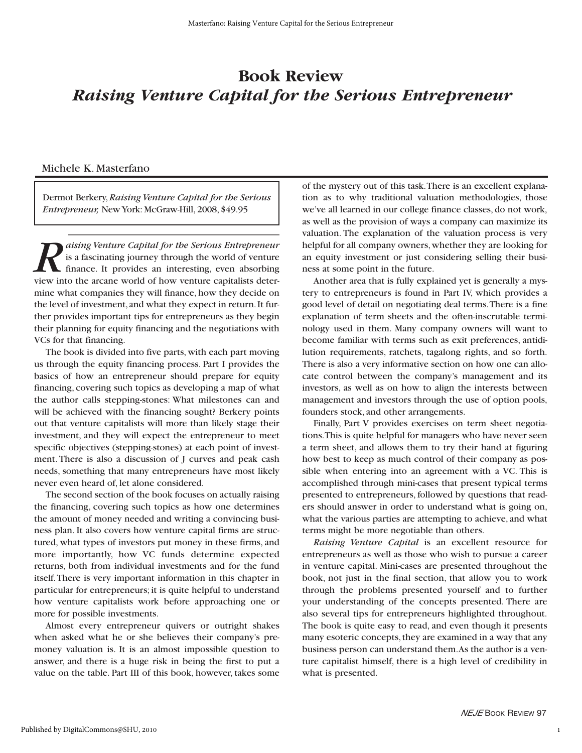## **Book Review** *Raising Venture Capital for the Serious Entrepreneur*

#### Michele K. Masterfano

Dermot Berkery,*Raising Venture Capital for the Serious Entrepreneur,* New York: McGraw-Hill, 2008, \$49.95

*Raising Venture Capital for the Serious Entrepreneur* is a fascinating journey through the world of venture finance. It provides an interesting, even absorbing view into the arcane world of how venture capitalists determine what companies they will finance, how they decide on the level of investment,and what they expect in return.It further provides important tips for entrepreneurs as they begin their planning for equity financing and the negotiations with VCs for that financing.

The book is divided into five parts, with each part moving us through the equity financing process. Part I provides the basics of how an entrepreneur should prepare for equity financing, covering such topics as developing a map of what the author calls stepping-stones: What milestones can and will be achieved with the financing sought? Berkery points out that venture capitalists will more than likely stage their investment, and they will expect the entrepreneur to meet specific objectives (stepping-stones) at each point of investment. There is also a discussion of J curves and peak cash needs, something that many entrepreneurs have most likely never even heard of, let alone considered.

The second section of the book focuses on actually raising the financing, covering such topics as how one determines the amount of money needed and writing a convincing business plan. It also covers how venture capital firms are structured, what types of investors put money in these firms, and more importantly, how VC funds determine expected returns, both from individual investments and for the fund itself.There is very important information in this chapter in particular for entrepreneurs; it is quite helpful to understand how venture capitalists work before approaching one or more for possible investments.

Almost every entrepreneur quivers or outright shakes when asked what he or she believes their company's premoney valuation is. It is an almost impossible question to answer, and there is a huge risk in being the first to put a value on the table. Part III of this book, however, takes some of the mystery out of this task.There is an excellent explanation as to why traditional valuation methodologies, those we've all learned in our college finance classes, do not work, as well as the provision of ways a company can maximize its valuation. The explanation of the valuation process is very helpful for all company owners, whether they are looking for an equity investment or just considering selling their business at some point in the future.

Another area that is fully explained yet is generally a mystery to entrepreneurs is found in Part IV, which provides a good level of detail on negotiating deal terms.There is a fine explanation of term sheets and the often-inscrutable terminology used in them. Many company owners will want to become familiar with terms such as exit preferences, antidilution requirements, ratchets, tagalong rights, and so forth. There is also a very informative section on how one can allocate control between the company's management and its investors, as well as on how to align the interests between management and investors through the use of option pools, founders stock, and other arrangements.

Finally, Part V provides exercises on term sheet negotiations.This is quite helpful for managers who have never seen a term sheet, and allows them to try their hand at figuring how best to keep as much control of their company as possible when entering into an agreement with a VC. This is accomplished through mini-cases that present typical terms presented to entrepreneurs, followed by questions that readers should answer in order to understand what is going on, what the various parties are attempting to achieve, and what terms might be more negotiable than others.

*Raising Venture Capital* is an excellent resource for entrepreneurs as well as those who wish to pursue a career in venture capital. Mini-cases are presented throughout the book, not just in the final section, that allow you to work through the problems presented yourself and to further your understanding of the concepts presented. There are also several tips for entrepreneurs highlighted throughout. The book is quite easy to read, and even though it presents many esoteric concepts, they are examined in a way that any business person can understand them.As the author is a venture capitalist himself, there is a high level of credibility in what is presented.